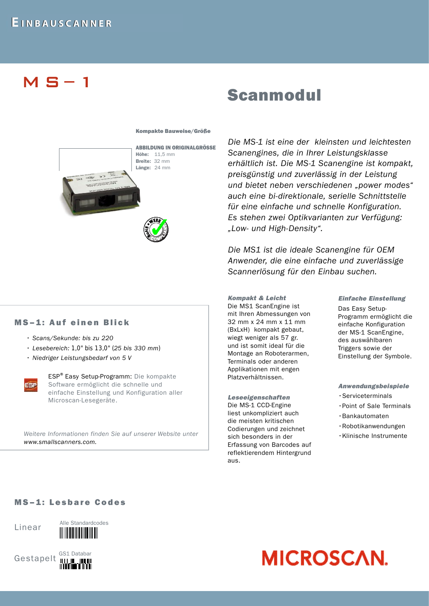## M S – 1

# Scanmodul

#### Kompakte Bauweise/Größe



*Die MS-1 ist eine der kleinsten und leichtesten Scanengines, die in Ihrer Leistungsklasse erhältlich ist. Die MS-1 Scanengine ist kompakt, preisgünstig und zuverlässig in der Leistung und bietet neben verschiedenen "power modes" auch eine bi-direktionale, serielle Schnittstelle für eine einfache und schnelle Konfiguration. Es stehen zwei Optikvarianten zur Verfügung: "Low- und High-Density".* 

*Die MS1 ist die ideale Scanengine für OEM Anwender, die eine einfache und zuverlässige Scannerlösung für den Einbau suchen.*

#### *Kompakt & Leicht*

Die MS1 ScanEngine ist mit Ihren Abmessungen von 32 mm x 24 mm x 11 mm (BxLxH) kompakt gebaut, wiegt weniger als 57 gr. und ist somit ideal für die Montage an Roboterarmen, Terminals oder anderen Applikationen mit engen Platzverhältnissen.

*Leseeigenschaften*  Die MS-1 CCD-Engine liest unkompliziert auch die meisten kritischen Codierungen und zeichnet sich besonders in der Erfassung von Barcodes auf reflektierendem Hintergrund aus.

#### *Einfache Einstellung*

Das Easy Setup-Programm ermöglicht die einfache Konfiguration der MS-1 ScanEngine, des auswählbaren Triggers sowie der Einstellung der Symbole.

#### *Anwendungsbeispiele*

- •Serviceterminals
- •Point of Sale Terminals
- •Bankautomaten
- •Robotikanwendungen
- •Klinische Instrumente

## MS-1: Auf einen Blick

- *Scans/Sekunde: bis zu 220*
- *Lesebereich: 1,0" bis 13,0" (25 bis 330 mm)*
- *Niedriger Leistungsbedarf von 5 V*

ESP

ESP<sup>®</sup> Easy Setup-Programm: Die kompakte Software ermöglicht die schnelle und einfache Einstellung und Konfiguration aller Microscan-Lesegeräte.

*Weitere Informationen finden Sie auf unserer Website unter www.smallscanners.com.*

### MS-1: Lesbare Codes